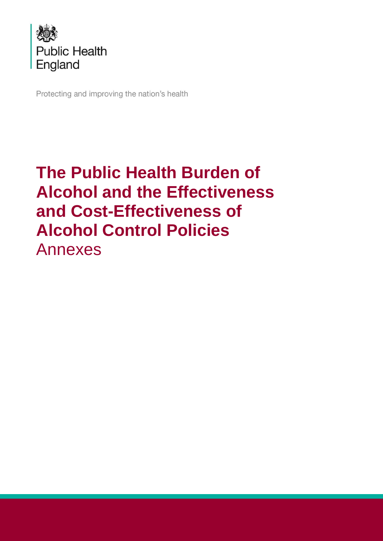

Protecting and improving the nation's health

# **The Public Health Burden of Alcohol and the Effectiveness and Cost-Effectiveness of Alcohol Control Policies** Annexes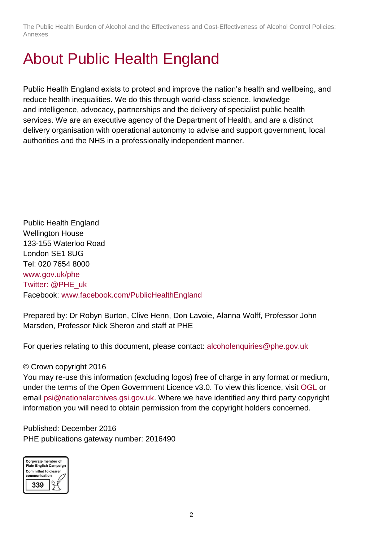# <span id="page-1-0"></span>About Public Health England

Public Health England exists to protect and improve the nation's health and wellbeing, and reduce health inequalities. We do this through world-class science, knowledge and intelligence, advocacy, partnerships and the delivery of specialist public health services. We are an executive agency of the Department of Health, and are a distinct delivery organisation with operational autonomy to advise and support government, local authorities and the NHS in a professionally independent manner.

Public Health England Wellington House 133-155 Waterloo Road London SE1 8UG Tel: 020 7654 8000 [www.gov.uk/phe](http://www.gov.uk/phe) Twitter: [@PHE\\_uk](https://twitter.com/PHE_uk) Facebook: [www.facebook.com/PublicHealthEngland](http://www.facebook.com/PublicHealthEngland)

Prepared by: Dr Robyn Burton, Clive Henn, Don Lavoie, Alanna Wolff, Professor John Marsden, Professor Nick Sheron and staff at PHE

For queries relating to this document, please contact: [alcoholenquiries@phe.gov.uk](mailto:alcoholenquiries@phe.gov.uk)

#### © Crown copyright 2016

You may re-use this information (excluding logos) free of charge in any format or medium, under the terms of the Open Government Licence v3.0. To view this licence, visit [OGL](https://www.nationalarchives.gov.uk/doc/open-government-licence/version/3/) or email [psi@nationalarchives.gsi.gov.uk.](mailto:psi@nationalarchives.gsi.gov.uk) Where we have identified any third party copyright information you will need to obtain permission from the copyright holders concerned.

Published: December 2016 PHE publications gateway number: 2016490

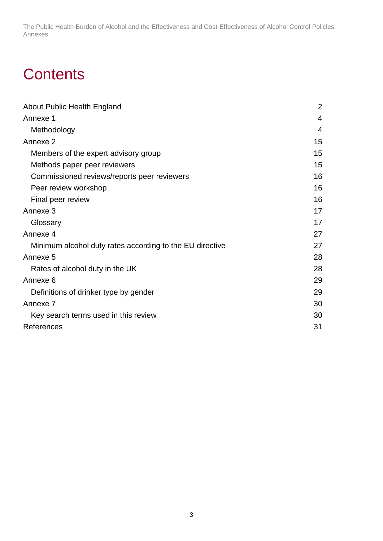## **Contents**

| About Public Health England                              | $\overline{2}$ |
|----------------------------------------------------------|----------------|
| Annexe 1                                                 | 4              |
| Methodology                                              | 4              |
| Annexe 2                                                 | 15             |
| Members of the expert advisory group                     | 15             |
| Methods paper peer reviewers                             | 15             |
| Commissioned reviews/reports peer reviewers              | 16             |
| Peer review workshop                                     | 16             |
| Final peer review                                        | 16             |
| Annexe 3                                                 | 17             |
| Glossary                                                 | 17             |
| Annexe 4                                                 | 27             |
| Minimum alcohol duty rates according to the EU directive | 27             |
| Annexe <sub>5</sub>                                      | 28             |
| Rates of alcohol duty in the UK                          | 28             |
| Annexe 6                                                 | 29             |
| Definitions of drinker type by gender                    | 29             |
| Annexe <sub>7</sub>                                      | 30             |
| Key search terms used in this review                     | 30             |
| References                                               | 31             |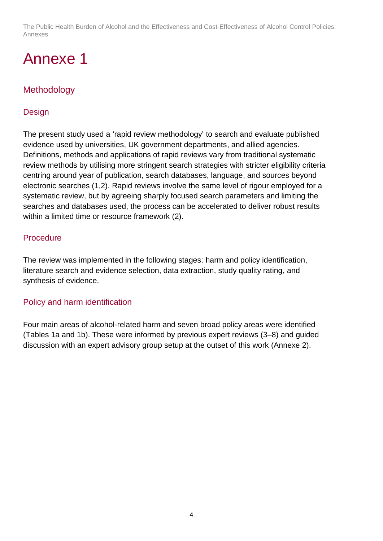## <span id="page-3-0"></span>Annexe 1

## <span id="page-3-1"></span>Methodology

### Design

The present study used a 'rapid review methodology' to search and evaluate published evidence used by universities, UK government departments, and allied agencies. Definitions, methods and applications of rapid reviews vary from traditional systematic review methods by utilising more stringent search strategies with stricter eligibility criteria centring around year of publication, search databases, language, and sources beyond electronic searches (1,2). Rapid reviews involve the same level of rigour employed for a systematic review, but by agreeing sharply focused search parameters and limiting the searches and databases used, the process can be accelerated to deliver robust results within a limited time or resource framework (2).

### Procedure

The review was implemented in the following stages: harm and policy identification, literature search and evidence selection, data extraction, study quality rating, and synthesis of evidence.

#### Policy and harm identification

Four main areas of alcohol-related harm and seven broad policy areas were identified (Tables 1a and 1b). These were informed by previous expert reviews (3–8) and guided discussion with an expert advisory group setup at the outset of this work (Annexe 2).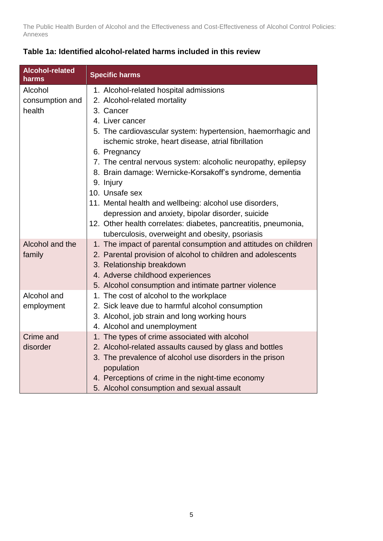| Alcohol-related<br>harms | <b>Specific harms</b>                                                                                               |
|--------------------------|---------------------------------------------------------------------------------------------------------------------|
| Alcohol                  | 1. Alcohol-related hospital admissions                                                                              |
| consumption and          | 2. Alcohol-related mortality                                                                                        |
| health                   | 3. Cancer                                                                                                           |
|                          | 4. Liver cancer                                                                                                     |
|                          | 5. The cardiovascular system: hypertension, haemorrhagic and<br>ischemic stroke, heart disease, atrial fibrillation |
|                          | 6. Pregnancy                                                                                                        |
|                          | 7. The central nervous system: alcoholic neuropathy, epilepsy                                                       |
|                          | 8. Brain damage: Wernicke-Korsakoff's syndrome, dementia                                                            |
|                          | 9. Injury                                                                                                           |
|                          | 10. Unsafe sex                                                                                                      |
|                          | 11. Mental health and wellbeing: alcohol use disorders,                                                             |
|                          | depression and anxiety, bipolar disorder, suicide                                                                   |
|                          | 12. Other health correlates: diabetes, pancreatitis, pneumonia,                                                     |
|                          | tuberculosis, overweight and obesity, psoriasis                                                                     |
| Alcohol and the          | 1. The impact of parental consumption and attitudes on children                                                     |
| family                   | 2. Parental provision of alcohol to children and adolescents                                                        |
|                          | 3. Relationship breakdown                                                                                           |
|                          | 4. Adverse childhood experiences                                                                                    |
|                          | 5. Alcohol consumption and intimate partner violence                                                                |
| Alcohol and              | 1. The cost of alcohol to the workplace                                                                             |
| employment               | 2. Sick leave due to harmful alcohol consumption                                                                    |
|                          | 3. Alcohol, job strain and long working hours                                                                       |
|                          | 4. Alcohol and unemployment                                                                                         |
| Crime and                | 1. The types of crime associated with alcohol                                                                       |
| disorder                 | 2. Alcohol-related assaults caused by glass and bottles                                                             |
|                          | 3. The prevalence of alcohol use disorders in the prison<br>population                                              |
|                          | 4. Perceptions of crime in the night-time economy                                                                   |
|                          | 5. Alcohol consumption and sexual assault                                                                           |

### **Table 1a: Identified alcohol-related harms included in this review**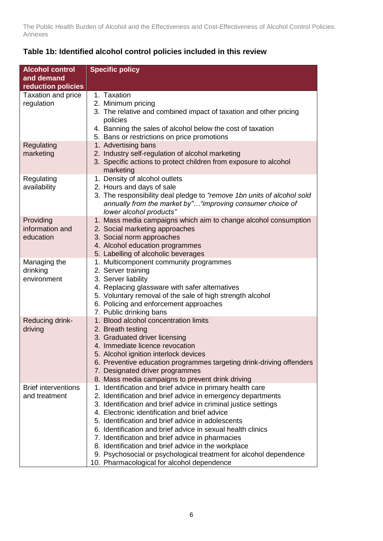| <b>Alcohol control</b>     | <b>Specific policy</b>                                                 |
|----------------------------|------------------------------------------------------------------------|
| and demand                 |                                                                        |
| reduction policies         |                                                                        |
|                            | 1. Taxation                                                            |
| Taxation and price         |                                                                        |
| regulation                 | 2. Minimum pricing                                                     |
|                            | 3. The relative and combined impact of taxation and other pricing      |
|                            | policies                                                               |
|                            | 4. Banning the sales of alcohol below the cost of taxation             |
|                            | 5. Bans or restrictions on price promotions                            |
| Regulating                 | 1. Advertising bans                                                    |
| marketing                  | 2. Industry self-regulation of alcohol marketing                       |
|                            | 3. Specific actions to protect children from exposure to alcohol       |
|                            | marketing                                                              |
| Regulating                 | 1. Density of alcohol outlets                                          |
| availability               | 2. Hours and days of sale                                              |
|                            | 3. The responsibility deal pledge to "remove 1bn units of alcohol sold |
|                            | annually from the market by" "improving consumer choice of             |
|                            | lower alcohol products"                                                |
| Providing                  | 1. Mass media campaigns which aim to change alcohol consumption        |
| information and            | 2. Social marketing approaches                                         |
| education                  | 3. Social norm approaches                                              |
|                            | 4. Alcohol education programmes                                        |
|                            | 5. Labelling of alcoholic beverages                                    |
| Managing the               | 1. Multicomponent community programmes                                 |
| drinking                   | 2. Server training                                                     |
| environment                | 3. Server liability                                                    |
|                            | 4. Replacing glassware with safer alternatives                         |
|                            | 5. Voluntary removal of the sale of high strength alcohol              |
|                            | 6. Policing and enforcement approaches                                 |
|                            | 7. Public drinking bans                                                |
| Reducing drink-            | 1. Blood alcohol concentration limits                                  |
| driving                    | 2. Breath testing                                                      |
|                            | 3. Graduated driver licensing                                          |
|                            | 4. Immediate licence revocation                                        |
|                            | 5. Alcohol ignition interlock devices                                  |
|                            | 6. Preventive education programmes targeting drink-driving offenders   |
|                            | 7. Designated driver programmes                                        |
|                            | 8. Mass media campaigns to prevent drink driving                       |
| <b>Brief interventions</b> | 1. Identification and brief advice in primary health care              |
| and treatment              | 2. Identification and brief advice in emergency departments            |
|                            | 3. Identification and brief advice in criminal justice settings        |
|                            | 4. Electronic identification and brief advice                          |
|                            | 5. Identification and brief advice in adolescents                      |
|                            | 6. Identification and brief advice in sexual health clinics            |
|                            | 7. Identification and brief advice in pharmacies                       |
|                            | 8. Identification and brief advice in the workplace                    |
|                            | 9. Psychosocial or psychological treatment for alcohol dependence      |
|                            | 10. Pharmacological for alcohol dependence                             |

### **Table 1b: Identified alcohol control policies included in this review**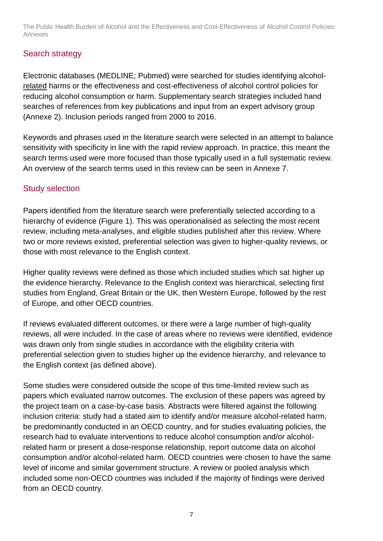### Search strategy

Electronic databases (MEDLINE; Pubmed) were searched for studies identifying alcoholrelated harms or the effectiveness and cost-effectiveness of alcohol control policies for reducing alcohol consumption or harm. Supplementary search strategies included hand searches of references from key publications and input from an expert advisory group (Annexe 2). Inclusion periods ranged from 2000 to 2016.

Keywords and phrases used in the literature search were selected in an attempt to balance sensitivity with specificity in line with the rapid review approach. In practice, this meant the search terms used were more focused than those typically used in a full systematic review. An overview of the search terms used in this review can be seen in Annexe 7.

## Study selection

Papers identified from the literature search were preferentially selected according to a hierarchy of evidence (Figure 1). This was operationalised as selecting the most recent review, including meta-analyses, and eligible studies published after this review. Where two or more reviews existed, preferential selection was given to higher-quality reviews, or those with most relevance to the English context.

Higher quality reviews were defined as those which included studies which sat higher up the evidence hierarchy. Relevance to the English context was hierarchical, selecting first studies from England, Great Britain or the UK, then Western Europe, followed by the rest of Europe, and other OECD countries.

If reviews evaluated different outcomes, or there were a large number of high-quality reviews, all were included. In the case of areas where no reviews were identified, evidence was drawn only from single studies in accordance with the eligibility criteria with preferential selection given to studies higher up the evidence hierarchy, and relevance to the English context (as defined above).

Some studies were considered outside the scope of this time-limited review such as papers which evaluated narrow outcomes. The exclusion of these papers was agreed by the project team on a case-by-case basis. Abstracts were filtered against the following inclusion criteria: study had a stated aim to identify and/or measure alcohol-related harm, be predominantly conducted in an OECD country, and for studies evaluating policies, the research had to evaluate interventions to reduce alcohol consumption and/or alcoholrelated harm or present a dose-response relationship, report outcome data on alcohol consumption and/or alcohol-related harm. OECD countries were chosen to have the same level of income and similar government structure. A review or pooled analysis which included some non-OECD countries was included if the majority of findings were derived from an OECD country.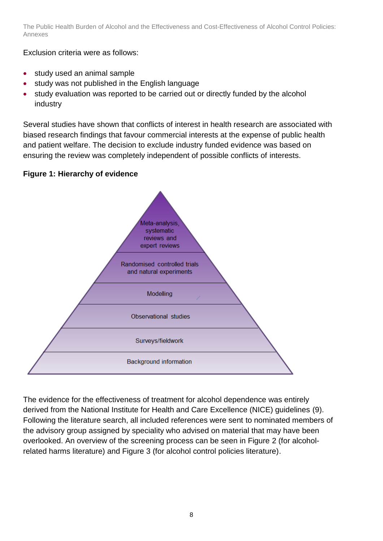Exclusion criteria were as follows:

- study used an animal sample
- study was not published in the English language
- study evaluation was reported to be carried out or directly funded by the alcohol industry

Several studies have shown that conflicts of interest in health research are associated with biased research findings that favour commercial interests at the expense of public health and patient welfare. The decision to exclude industry funded evidence was based on ensuring the review was completely independent of possible conflicts of interests.

### **Figure 1: Hierarchy of evidence**



The evidence for the effectiveness of treatment for alcohol dependence was entirely derived from the National Institute for Health and Care Excellence (NICE) guidelines (9). Following the literature search, all included references were sent to nominated members of the advisory group assigned by speciality who advised on material that may have been overlooked. An overview of the screening process can be seen in Figure 2 (for alcoholrelated harms literature) and Figure 3 (for alcohol control policies literature).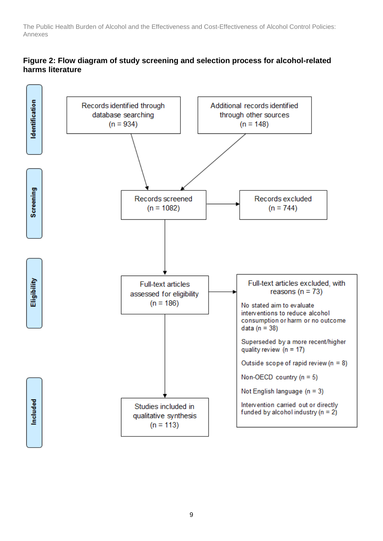#### **Figure 2: Flow diagram of study screening and selection process for alcohol-related harms literature**

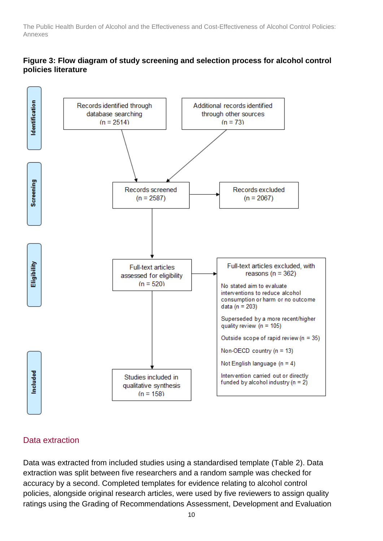#### **Figure 3: Flow diagram of study screening and selection process for alcohol control policies literature**



#### Data extraction

Data was extracted from included studies using a standardised template (Table 2). Data extraction was split between five researchers and a random sample was checked for accuracy by a second. Completed templates for evidence relating to alcohol control policies, alongside original research articles, were used by five reviewers to assign quality ratings using the Grading of Recommendations Assessment, Development and Evaluation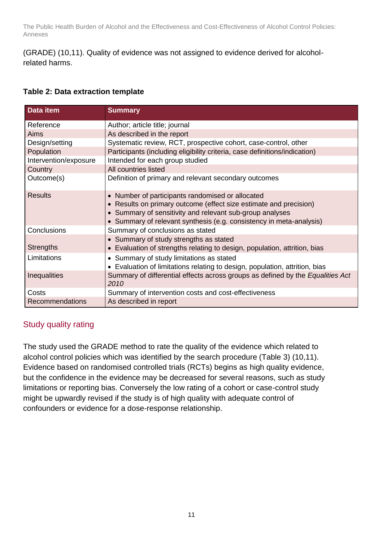(GRADE) (10,11). Quality of evidence was not assigned to evidence derived for alcoholrelated harms.

#### **Table 2: Data extraction template**

| Data item              | <b>Summary</b>                                                                                                                                                                                                                                           |  |
|------------------------|----------------------------------------------------------------------------------------------------------------------------------------------------------------------------------------------------------------------------------------------------------|--|
| Reference              | Author; article title; journal                                                                                                                                                                                                                           |  |
| Aims                   | As described in the report                                                                                                                                                                                                                               |  |
| Design/setting         | Systematic review, RCT, prospective cohort, case-control, other                                                                                                                                                                                          |  |
| Population             | Participants (including eligibility criteria, case definitions/indication)                                                                                                                                                                               |  |
| Intervention/exposure  | Intended for each group studied                                                                                                                                                                                                                          |  |
| Country                | All countries listed                                                                                                                                                                                                                                     |  |
| Outcome(s)             | Definition of primary and relevant secondary outcomes                                                                                                                                                                                                    |  |
| <b>Results</b>         | • Number of participants randomised or allocated<br>• Results on primary outcome (effect size estimate and precision)<br>• Summary of sensitivity and relevant sub-group analyses<br>• Summary of relevant synthesis (e.g. consistency in meta-analysis) |  |
| Conclusions            | Summary of conclusions as stated                                                                                                                                                                                                                         |  |
| <b>Strengths</b>       | • Summary of study strengths as stated<br>• Evaluation of strengths relating to design, population, attrition, bias                                                                                                                                      |  |
| Limitations            | • Summary of study limitations as stated<br>Evaluation of limitations relating to design, population, attrition, bias                                                                                                                                    |  |
| Inequalities           | Summary of differential effects across groups as defined by the <i>Equalities Act</i><br>2010                                                                                                                                                            |  |
| Costs                  | Summary of intervention costs and cost-effectiveness                                                                                                                                                                                                     |  |
| <b>Recommendations</b> | As described in report                                                                                                                                                                                                                                   |  |

### Study quality rating

The study used the GRADE method to rate the quality of the evidence which related to alcohol control policies which was identified by the search procedure (Table 3) (10,11). Evidence based on randomised controlled trials (RCTs) begins as high quality evidence, but the confidence in the evidence may be decreased for several reasons, such as study limitations or reporting bias. Conversely the low rating of a cohort or case-control study might be upwardly revised if the study is of high quality with adequate control of confounders or evidence for a dose-response relationship.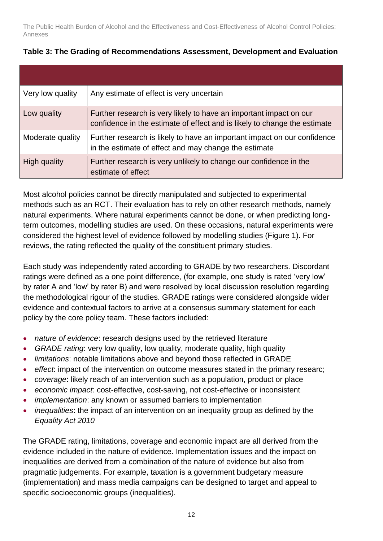| Very low quality | Any estimate of effect is very uncertain                                                                                                        |
|------------------|-------------------------------------------------------------------------------------------------------------------------------------------------|
| Low quality      | Further research is very likely to have an important impact on our<br>confidence in the estimate of effect and is likely to change the estimate |
| Moderate quality | Further research is likely to have an important impact on our confidence<br>in the estimate of effect and may change the estimate               |
| High quality     | Further research is very unlikely to change our confidence in the<br>estimate of effect                                                         |

### **Table 3: The Grading of Recommendations Assessment, Development and Evaluation**

Most alcohol policies cannot be directly manipulated and subjected to experimental methods such as an RCT. Their evaluation has to rely on other research methods, namely natural experiments. Where natural experiments cannot be done, or when predicting longterm outcomes, modelling studies are used. On these occasions, natural experiments were considered the highest level of evidence followed by modelling studies (Figure 1). For reviews, the rating reflected the quality of the constituent primary studies.

Each study was independently rated according to GRADE by two researchers. Discordant ratings were defined as a one point difference, (for example, one study is rated 'very low' by rater A and 'low' by rater B) and were resolved by local discussion resolution regarding the methodological rigour of the studies. GRADE ratings were considered alongside wider evidence and contextual factors to arrive at a consensus summary statement for each policy by the core policy team. These factors included:

- *nature of evidence*: research designs used by the retrieved literature
- *GRADE rating*: very low quality, low quality, moderate quality, high quality
- *limitations*: notable limitations above and beyond those reflected in GRADE
- *effect*: impact of the intervention on outcome measures stated in the primary researc;
- *coverage*: likely reach of an intervention such as a population, product or place
- *economic impact*: cost-effective, cost-saving, not cost-effective or inconsistent
- *implementation*: any known or assumed barriers to implementation
- *inequalities*: the impact of an intervention on an inequality group as defined by the *Equality Act 2010*

The GRADE rating, limitations, coverage and economic impact are all derived from the evidence included in the nature of evidence. Implementation issues and the impact on inequalities are derived from a combination of the nature of evidence but also from pragmatic judgements. For example, taxation is a government budgetary measure (implementation) and mass media campaigns can be designed to target and appeal to specific socioeconomic groups (inequalities).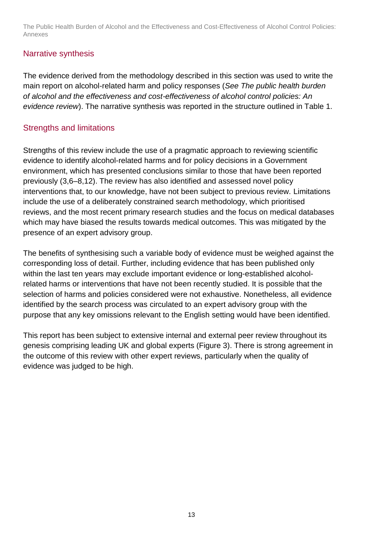### Narrative synthesis

The evidence derived from the methodology described in this section was used to write the main report on alcohol-related harm and policy responses (*See The public health burden of alcohol and the effectiveness and cost-effectiveness of alcohol control policies: An evidence review*). The narrative synthesis was reported in the structure outlined in Table 1.

### Strengths and limitations

Strengths of this review include the use of a pragmatic approach to reviewing scientific evidence to identify alcohol-related harms and for policy decisions in a Government environment, which has presented conclusions similar to those that have been reported previously (3,6–8,12). The review has also identified and assessed novel policy interventions that, to our knowledge, have not been subject to previous review. Limitations include the use of a deliberately constrained search methodology, which prioritised reviews, and the most recent primary research studies and the focus on medical databases which may have biased the results towards medical outcomes. This was mitigated by the presence of an expert advisory group.

The benefits of synthesising such a variable body of evidence must be weighed against the corresponding loss of detail. Further, including evidence that has been published only within the last ten years may exclude important evidence or long-established alcoholrelated harms or interventions that have not been recently studied. It is possible that the selection of harms and policies considered were not exhaustive. Nonetheless, all evidence identified by the search process was circulated to an expert advisory group with the purpose that any key omissions relevant to the English setting would have been identified.

This report has been subject to extensive internal and external peer review throughout its genesis comprising leading UK and global experts (Figure 3). There is strong agreement in the outcome of this review with other expert reviews, particularly when the quality of evidence was judged to be high.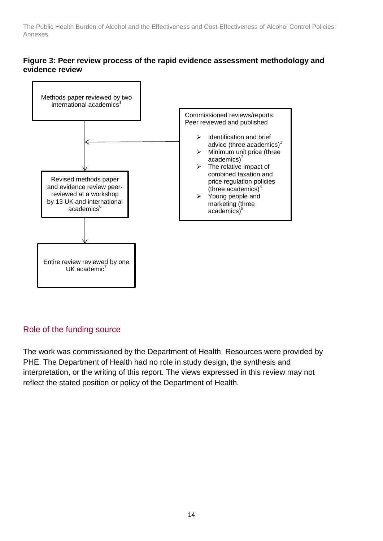#### **Figure 3: Peer review process of the rapid evidence assessment methodology and evidence review**



### Role of the funding source

The work was commissioned by the Department of Health. Resources were provided by PHE. The Department of Health had no role in study design, the synthesis and interpretation, or the writing of this report. The views expressed in this review may not reflect the stated position or policy of the Department of Health.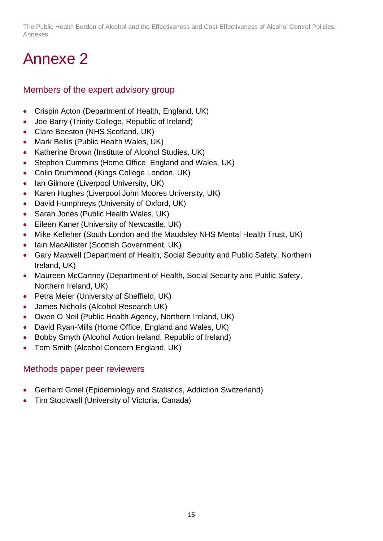## <span id="page-14-0"></span>Annexe 2

## <span id="page-14-1"></span>Members of the expert advisory group

- Crispin Acton (Department of Health, England, UK)
- Joe Barry (Trinity College, Republic of Ireland)
- Clare Beeston (NHS Scotland, UK)
- Mark Bellis (Public Health Wales, UK)
- Katherine Brown (Institute of Alcohol Studies, UK)
- Stephen Cummins (Home Office, England and Wales, UK)
- Colin Drummond (Kings College London, UK)
- Ian Gilmore (Liverpool University, UK)
- Karen Hughes (Liverpool John Moores University, UK)
- David Humphreys (University of Oxford, UK)
- Sarah Jones (Public Health Wales, UK)
- Eileen Kaner (University of Newcastle, UK)
- Mike Kelleher (South London and the Maudsley NHS Mental Health Trust, UK)
- Iain MacAllister (Scottish Government, UK)
- Gary Maxwell (Department of Health, Social Security and Public Safety, Northern Ireland, UK)
- Maureen McCartney (Department of Health, Social Security and Public Safety, Northern Ireland, UK)
- Petra Meier (University of Sheffield, UK)
- James Nicholls (Alcohol Research UK)
- Owen O Neil (Public Health Agency, Northern Ireland, UK)
- David Ryan-Mills (Home Office, England and Wales, UK)
- Bobby Smyth (Alcohol Action Ireland, Republic of Ireland)
- Tom Smith (Alcohol Concern England, UK)

### <span id="page-14-2"></span>Methods paper peer reviewers

- Gerhard Gmel (Epidemiology and Statistics, Addiction Switzerland)
- Tim Stockwell (University of Victoria, Canada)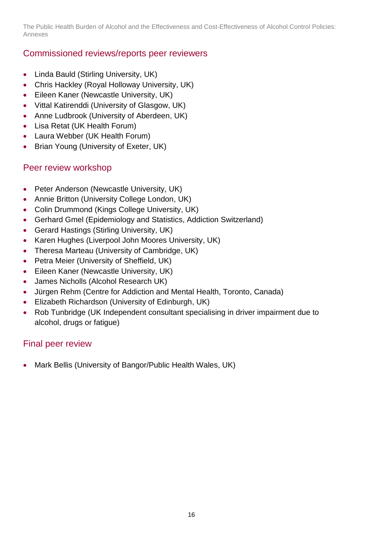## <span id="page-15-0"></span>Commissioned reviews/reports peer reviewers

- Linda Bauld (Stirling University, UK)
- Chris Hackley (Royal Holloway University, UK)
- Eileen Kaner (Newcastle University, UK)
- Vittal Katirenddi (University of Glasgow, UK)
- Anne Ludbrook (University of Aberdeen, UK)
- Lisa Retat (UK Health Forum)
- Laura Webber (UK Health Forum)
- Brian Young (University of Exeter, UK)

## <span id="page-15-1"></span>Peer review workshop

- Peter Anderson (Newcastle University, UK)
- Annie Britton (University College London, UK)
- Colin Drummond (Kings College University, UK)
- Gerhard Gmel (Epidemiology and Statistics, Addiction Switzerland)
- Gerard Hastings (Stirling University, UK)
- Karen Hughes (Liverpool John Moores University, UK)
- Theresa Marteau (University of Cambridge, UK)
- Petra Meier (University of Sheffield, UK)
- Eileen Kaner (Newcastle University, UK)
- James Nicholls (Alcohol Research UK)
- Jürgen Rehm (Centre for Addiction and Mental Health, Toronto, Canada)
- Elizabeth Richardson (University of Edinburgh, UK)
- Rob Tunbridge (UK Independent consultant specialising in driver impairment due to alcohol, drugs or fatigue)

## <span id="page-15-2"></span>Final peer review

• Mark Bellis (University of Bangor/Public Health Wales, UK)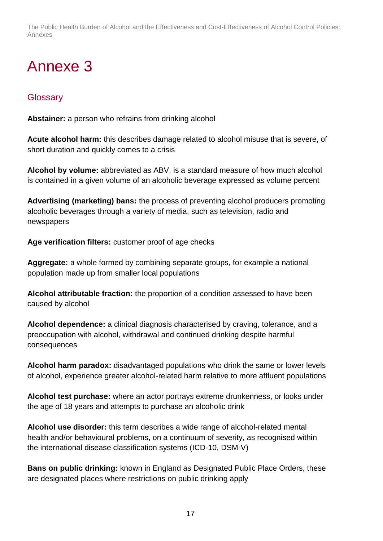# <span id="page-16-0"></span>Annexe 3

## <span id="page-16-1"></span>**Glossary**

**Abstainer:** a person who refrains from drinking alcohol

**Acute alcohol harm:** this describes damage related to alcohol misuse that is severe, of short duration and quickly comes to a crisis

**Alcohol by volume:** abbreviated as ABV, is a standard measure of how much alcohol is contained in a given volume of an alcoholic beverage expressed as volume percent

**Advertising (marketing) bans:** the process of preventing alcohol producers promoting alcoholic beverages through a variety of media, such as television, radio and newspapers

**Age verification filters:** customer proof of age checks

**Aggregate:** a whole formed by combining separate groups, for example a national population made up from smaller local populations

**Alcohol attributable fraction:** the proportion of a condition assessed to have been caused by alcohol

**Alcohol dependence:** a clinical diagnosis characterised by craving, tolerance, and a preoccupation with alcohol, withdrawal and continued drinking despite harmful consequences

**Alcohol harm paradox:** disadvantaged populations who drink the same or lower levels of alcohol, experience greater alcohol-related harm relative to more affluent populations

**Alcohol test purchase:** where an actor portrays extreme drunkenness, or looks under the age of 18 years and attempts to purchase an alcoholic drink

**Alcohol use disorder:** this term describes a wide range of alcohol-related mental health and/or behavioural problems, on a continuum of severity, as recognised within the international disease classification systems (ICD-10, DSM-V)

**Bans on public drinking:** known in England as Designated Public Place Orders, these are designated places where restrictions on public drinking apply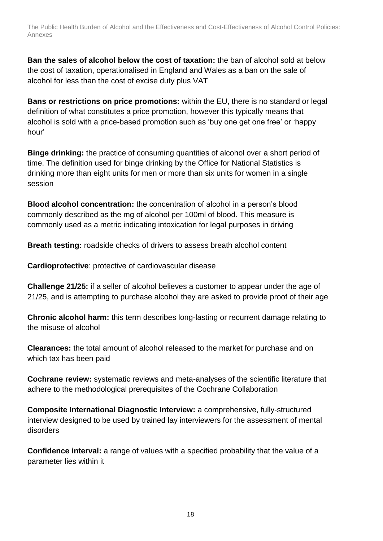**Ban the sales of alcohol below the cost of taxation:** the ban of alcohol sold at below the cost of taxation, operationalised in England and Wales as a ban on the sale of alcohol for less than the cost of excise duty plus VAT

**Bans or restrictions on price promotions:** within the EU, there is no standard or legal definition of what constitutes a price promotion, however this typically means that alcohol is sold with a price-based promotion such as 'buy one get one free' or 'happy hour'

**Binge drinking:** the practice of consuming quantities of alcohol over a short period of time. The definition used for binge drinking by the Office for National Statistics is drinking more than eight units for men or more than six units for women in a single session

**Blood alcohol concentration:** the concentration of alcohol in a person's blood commonly described as the mg of alcohol per 100ml of blood. This measure is commonly used as a metric indicating intoxication for legal purposes in driving

**Breath testing:** roadside checks of drivers to assess breath alcohol content

**Cardioprotective**: protective of cardiovascular disease

**Challenge 21/25:** if a seller of alcohol believes a customer to appear under the age of 21/25, and is attempting to purchase alcohol they are asked to provide proof of their age

**Chronic alcohol harm:** this term describes long-lasting or recurrent damage relating to the misuse of alcohol

**Clearances:** the total amount of alcohol released to the market for purchase and on which tax has been paid

**Cochrane review:** systematic reviews and meta-analyses of the scientific literature that adhere to the methodological prerequisites of the Cochrane Collaboration

**Composite International Diagnostic Interview:** a comprehensive, fully-structured interview designed to be used by trained lay interviewers for the assessment of mental disorders

**Confidence interval:** a range of values with a specified probability that the value of a parameter lies within it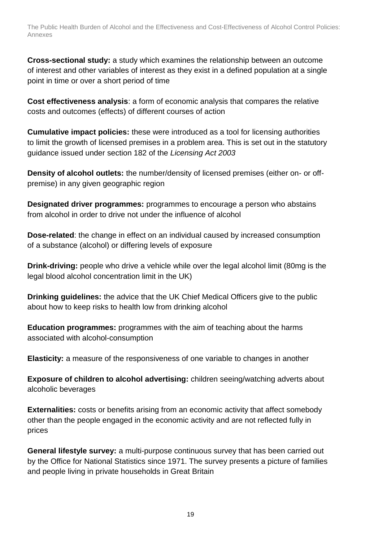**Cross-sectional study:** a study which examines the relationship between an outcome of interest and other variables of interest as they exist in a defined population at a single point in time or over a short period of time

**Cost effectiveness analysis**: a form of economic analysis that compares the relative costs and outcomes (effects) of different courses of action

**Cumulative impact policies:** these were introduced as a tool for licensing authorities to limit the growth of licensed premises in a problem area. This is set out in the statutory guidance issued under section 182 of the *Licensing Act 2003*

**Density of alcohol outlets:** the number/density of licensed premises (either on- or offpremise) in any given geographic region

**Designated driver programmes:** programmes to encourage a person who abstains from alcohol in order to drive not under the influence of alcohol

**Dose-related**: the change in effect on an individual caused by increased consumption of a substance (alcohol) or differing levels of exposure

**Drink-driving:** people who drive a vehicle while over the legal alcohol limit (80mg is the legal blood alcohol concentration limit in the UK)

**Drinking guidelines:** the advice that the UK Chief Medical Officers give to the public about how to keep risks to health low from drinking alcohol

**Education programmes:** programmes with the aim of teaching about the harms associated with alcohol-consumption

**Elasticity:** a measure of the responsiveness of one variable to changes in another

**Exposure of children to alcohol advertising:** children seeing/watching adverts about alcoholic beverages

**Externalities:** costs or benefits arising from an economic activity that affect somebody other than the people engaged in the economic activity and are not reflected fully in prices

**General lifestyle survey:** a multi-purpose continuous survey that has been carried out by the Office for National Statistics since 1971. The survey presents a picture of families and people living in private households in Great Britain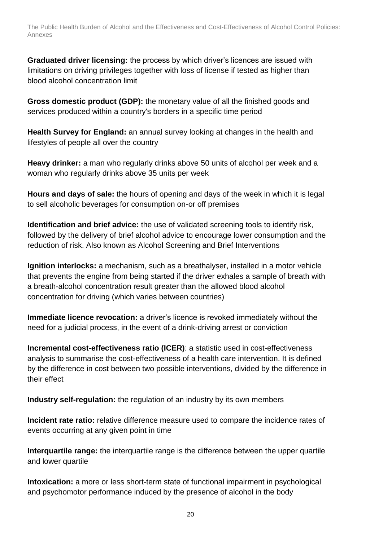**Graduated driver licensing:** the process by which driver's licences are issued with limitations on driving privileges together with loss of license if tested as higher than blood alcohol concentration limit

**Gross domestic product (GDP):** the monetary value of all the finished goods and services produced within a country's borders in a specific time period

**Health Survey for England:** an annual survey looking at changes in the health and lifestyles of people all over the country

**Heavy drinker:** a man who regularly drinks above 50 units of alcohol per week and a woman who regularly drinks above 35 units per week

**Hours and days of sale:** the hours of opening and days of the week in which it is legal to sell alcoholic beverages for consumption on-or off premises

**Identification and brief advice:** the use of validated screening tools to identify risk, followed by the delivery of brief alcohol advice to encourage lower consumption and the reduction of risk. Also known as Alcohol Screening and Brief Interventions

**Ignition interlocks:** a mechanism, such as a breathalyser, installed in a motor vehicle that prevents the engine from being started if the driver exhales a sample of breath with a breath-alcohol concentration result greater than the allowed blood alcohol concentration for driving (which varies between countries)

**Immediate licence revocation:** a driver's licence is revoked immediately without the need for a judicial process, in the event of a drink-driving arrest or conviction

**Incremental cost-effectiveness ratio (ICER)**: a statistic used in cost-effectiveness analysis to summarise the cost-effectiveness of a health care intervention. It is defined by the difference in cost between two possible interventions, divided by the difference in their effect

**Industry self-regulation:** the regulation of an industry by its own members

**Incident rate ratio:** relative difference measure used to compare the incidence rates of events occurring at any given point in time

**Interquartile range:** the interquartile range is the difference between the upper quartile and lower quartile

**Intoxication:** a more or less short-term state of functional impairment in psychological and psychomotor performance induced by the presence of alcohol in the body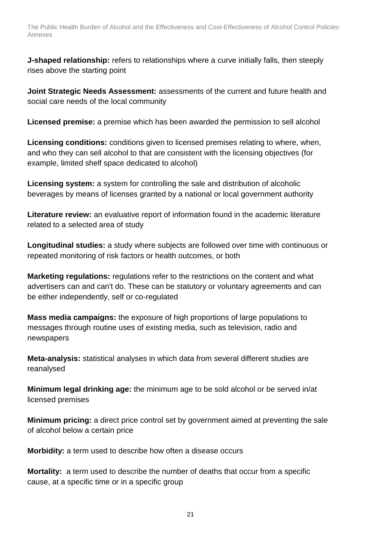**J-shaped relationship:** refers to relationships where a curve initially falls, then steeply rises above the starting point

**Joint Strategic Needs Assessment:** assessments of the current and future health and social care needs of the local community

**Licensed premise:** a premise which has been awarded the permission to sell alcohol

**Licensing conditions:** conditions given to licensed premises relating to where, when, and who they can sell alcohol to that are consistent with the licensing objectives (for example, limited shelf space dedicated to alcohol)

**Licensing system:** a system for controlling the sale and distribution of alcoholic beverages by means of licenses granted by a national or local government authority

**Literature review:** an evaluative report of information found in the academic literature related to a selected area of study

**Longitudinal studies:** a study where subjects are followed over time with continuous or repeated monitoring of risk factors or health outcomes, or both

**Marketing regulations:** regulations refer to the restrictions on the content and what advertisers can and can't do. These can be statutory or voluntary agreements and can be either independently, self or co-regulated

**Mass media campaigns:** the exposure of high proportions of large populations to messages through routine uses of existing media, such as television, radio and newspapers

**Meta-analysis:** statistical analyses in which data from several different studies are reanalysed

**Minimum legal drinking age:** the minimum age to be sold alcohol or be served in/at licensed premises

**Minimum pricing:** a direct price control set by government aimed at preventing the sale of alcohol below a certain price

**Morbidity:** a term used to describe how often a disease occurs

**Mortality:** a term used to describe the number of deaths that occur from a specific cause, at a specific time or in a specific group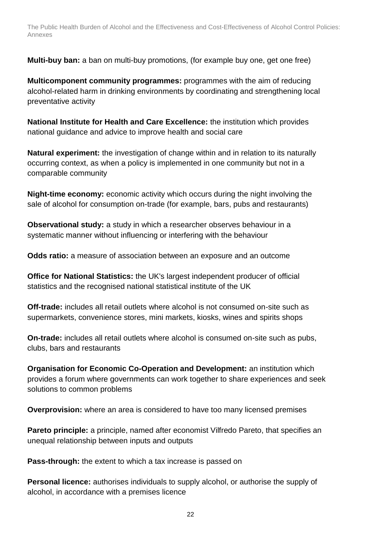**Multi-buy ban:** a ban on multi-buy promotions, (for example buy one, get one free)

**Multicomponent community programmes:** programmes with the aim of reducing alcohol-related harm in drinking environments by coordinating and strengthening local preventative activity

**National Institute for Health and Care Excellence:** the institution which provides national guidance and advice to improve health and social care

**Natural experiment:** the investigation of change within and in relation to its naturally occurring context, as when a policy is implemented in one community but not in a comparable community

**Night-time economy:** economic activity which occurs during the night involving the sale of alcohol for consumption on-trade (for example, bars, pubs and restaurants)

**Observational study:** a study in which a researcher observes behaviour in a systematic manner without influencing or interfering with the behaviour

**Odds ratio:** a measure of association between an exposure and an outcome

**Office for National Statistics:** the UK's largest independent producer of official statistics and the recognised national statistical institute of the UK

**Off-trade:** includes all retail outlets where alcohol is not consumed on-site such as supermarkets, convenience stores, mini markets, kiosks, wines and spirits shops

**On-trade:** includes all retail outlets where alcohol is consumed on-site such as pubs, clubs, bars and restaurants

**Organisation for Economic Co-Operation and Development:** an institution which provides a forum where governments can work together to share experiences and seek solutions to common problems

**Overprovision:** where an area is considered to have too many licensed premises

**Pareto principle:** a principle, named after economist Vilfredo Pareto, that specifies an unequal relationship between inputs and outputs

**Pass-through:** the extent to which a tax increase is passed on

**Personal licence:** authorises individuals to supply alcohol, or authorise the supply of alcohol, in accordance with a premises licence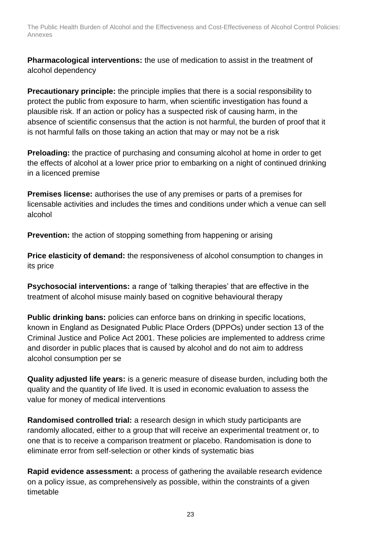**Pharmacological interventions:** the use of medication to assist in the treatment of alcohol dependency

**Precautionary principle:** the principle implies that there is a social responsibility to protect the public from exposure to harm, when scientific investigation has found a plausible risk. If an action or policy has a suspected risk of causing harm, in the absence of scientific consensus that the action is not harmful, the burden of proof that it is not harmful falls on those taking an action that may or may not be a risk

**Preloading:** the practice of purchasing and consuming alcohol at home in order to get the effects of alcohol at a lower price prior to embarking on a night of continued drinking in a licenced premise

**Premises license:** authorises the use of any premises or parts of a premises for licensable activities and includes the times and conditions under which a venue can sell alcohol

**Prevention:** the action of stopping something from happening or arising

**Price elasticity of demand:** the responsiveness of alcohol consumption to changes in its price

**Psychosocial interventions:** a range of 'talking therapies' that are effective in the treatment of alcohol misuse mainly based on cognitive behavioural therapy

**Public drinking bans:** policies can enforce bans on drinking in specific locations, known in England as Designated Public Place Orders (DPPOs) under section 13 of the Criminal Justice and Police Act 2001. These policies are implemented to address crime and disorder in public places that is caused by alcohol and do not aim to address alcohol consumption per se

**Quality adjusted life years:** is a generic measure of disease burden, including both the quality and the quantity of life lived. It is used in economic evaluation to assess the value for money of medical interventions

**Randomised controlled trial:** a research design in which study participants are randomly allocated, either to a group that will receive an experimental treatment or, to one that is to receive a comparison treatment or placebo. Randomisation is done to eliminate error from self-selection or other kinds of systematic bias

**Rapid evidence assessment:** a process of gathering the available research evidence on a policy issue, as comprehensively as possible, within the constraints of a given timetable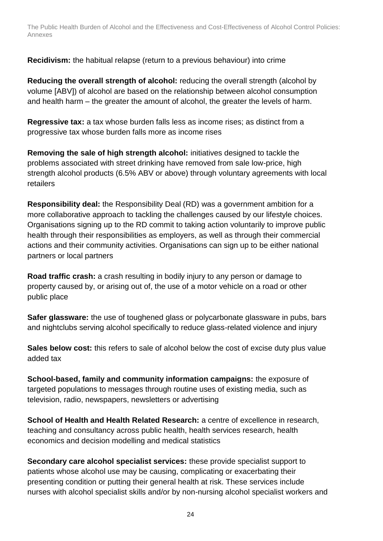**Recidivism:** the habitual relapse (return to a previous behaviour) into crime

**Reducing the overall strength of alcohol:** reducing the overall strength (alcohol by volume [ABV]) of alcohol are based on the relationship between alcohol consumption and health harm – the greater the amount of alcohol, the greater the levels of harm.

**Regressive tax:** a tax whose burden falls less as income rises; as distinct from a progressive tax whose burden falls more as income rises

**Removing the sale of high strength alcohol:** initiatives designed to tackle the problems associated with street drinking have removed from sale low-price, high strength alcohol products (6.5% ABV or above) through voluntary agreements with local retailers

**Responsibility deal:** the Responsibility Deal (RD) was a government ambition for a more collaborative approach to tackling the challenges caused by our lifestyle choices. Organisations signing up to the RD commit to taking action voluntarily to improve public health through their responsibilities as employers, as well as through their commercial actions and their community activities. Organisations can sign up to be either national partners or local partners

**Road traffic crash:** a crash resulting in bodily injury to any person or damage to property caused by, or arising out of, the use of a motor vehicle on a road or other public place

**Safer glassware:** the use of toughened glass or polycarbonate glassware in pubs, bars and nightclubs serving alcohol specifically to reduce glass-related violence and injury

**Sales below cost:** this refers to sale of alcohol below the cost of excise duty plus value added tax

**School-based, family and community information campaigns:** the exposure of targeted populations to messages through routine uses of existing media, such as television, radio, newspapers, newsletters or advertising

**School of Health and Health Related Research:** a centre of excellence in research, teaching and consultancy across public health, health services research, health economics and decision modelling and medical statistics

**Secondary care alcohol specialist services:** these provide specialist support to patients whose alcohol use may be causing, complicating or exacerbating their presenting condition or putting their general health at risk. These services include nurses with alcohol specialist skills and/or by non-nursing alcohol specialist workers and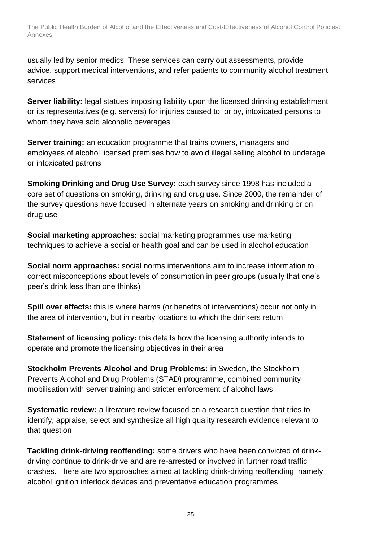usually led by senior medics. These services can carry out assessments, provide advice, support medical interventions, and refer patients to community alcohol treatment services

**Server liability:** legal statues imposing liability upon the licensed drinking establishment or its representatives (e.g. servers) for injuries caused to, or by, intoxicated persons to whom they have sold alcoholic beverages

**Server training:** an education programme that trains owners, managers and employees of alcohol licensed premises how to avoid illegal selling alcohol to underage or intoxicated patrons

**Smoking Drinking and Drug Use Survey:** each survey since 1998 has included a core set of questions on smoking, drinking and drug use. Since 2000, the remainder of the survey questions have focused in alternate years on smoking and drinking or on drug use

**Social marketing approaches:** social marketing programmes use marketing techniques to achieve a social or health goal and can be used in alcohol education

**Social norm approaches:** social norms interventions aim to increase information to correct misconceptions about levels of consumption in peer groups (usually that one's peer's drink less than one thinks)

**Spill over effects:** this is where harms (or benefits of interventions) occur not only in the area of intervention, but in nearby locations to which the drinkers return

**Statement of licensing policy:** this details how the licensing authority intends to operate and promote the licensing objectives in their area

**Stockholm Prevents Alcohol and Drug Problems:** in Sweden, the Stockholm Prevents Alcohol and Drug Problems (STAD) programme, combined community mobilisation with server training and stricter enforcement of alcohol laws

**Systematic review:** a literature review focused on a research question that tries to identify, appraise, select and synthesize all high quality research evidence relevant to that question

**Tackling drink-driving reoffending:** some drivers who have been convicted of drinkdriving continue to drink-drive and are re-arrested or involved in further road traffic crashes. There are two approaches aimed at tackling drink-driving reoffending, namely alcohol ignition interlock devices and preventative education programmes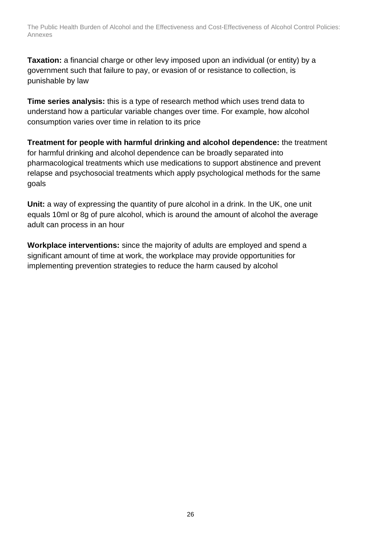**Taxation:** a financial charge or other levy imposed upon an individual (or entity) by a government such that failure to pay, or evasion of or resistance to collection, is punishable by law

**Time series analysis:** this is a type of research method which uses trend data to understand how a particular variable changes over time. For example, how alcohol consumption varies over time in relation to its price

**Treatment for people with harmful drinking and alcohol dependence:** the treatment for harmful drinking and alcohol dependence can be broadly separated into pharmacological treatments which use medications to support abstinence and prevent relapse and psychosocial treatments which apply psychological methods for the same goals

**Unit:** a way of expressing the quantity of pure alcohol in a drink. In the UK, one unit equals 10ml or 8g of pure alcohol, which is around the amount of alcohol the average adult can process in an hour

**Workplace interventions:** since the majority of adults are employed and spend a significant amount of time at work, the workplace may provide opportunities for implementing prevention strategies to reduce the harm caused by alcohol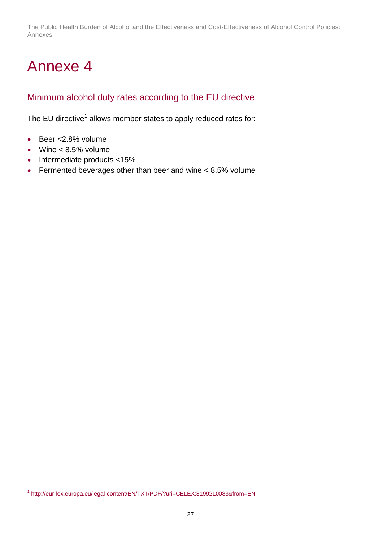# <span id="page-26-0"></span>Annexe 4

## <span id="page-26-1"></span>Minimum alcohol duty rates according to the EU directive

The EU directive<sup>1</sup> allows member states to apply reduced rates for:

- Beer <2.8% volume
- $\bullet$  Wine  $< 8.5\%$  volume

l

- $\bullet$  Intermediate products <15%
- Fermented beverages other than beer and wine < 8.5% volume

<sup>&</sup>lt;sup>1</sup> <http://eur-lex.europa.eu/legal-content/EN/TXT/PDF/?uri=CELEX:31992L0083&from=EN>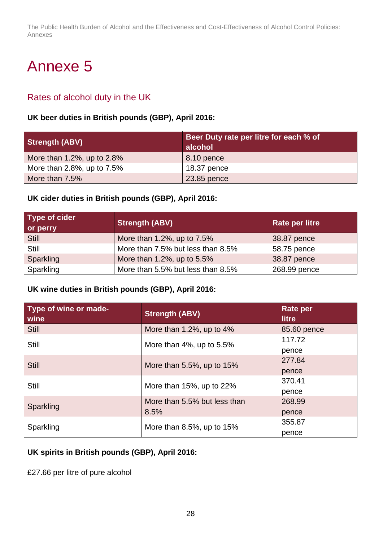# <span id="page-27-0"></span>Annexe 5

## <span id="page-27-1"></span>Rates of alcohol duty in the UK

#### **UK beer duties in British pounds (GBP), April 2016:**

| <b>Strength (ABV)</b>         | Beer Duty rate per litre for each % of<br>alcohol |
|-------------------------------|---------------------------------------------------|
| More than 1.2%, up to $2.8\%$ | 8.10 pence                                        |
| More than 2.8%, up to 7.5%    | 18.37 pence                                       |
| More than 7.5%                | 23.85 pence                                       |

#### **UK cider duties in British pounds (GBP), April 2016:**

| <b>Type of cider</b><br>or perry | <b>Strength (ABV)</b>             | <b>Rate per litre</b> |
|----------------------------------|-----------------------------------|-----------------------|
| <b>Still</b>                     | More than 1.2%, up to 7.5%        | 38.87 pence           |
| Still                            | More than 7.5% but less than 8.5% | 58.75 pence           |
| Sparkling                        | More than 1.2%, up to 5.5%        | 38.87 pence           |
| Sparkling                        | More than 5.5% but less than 8.5% | 268.99 pence          |

#### **UK wine duties in British pounds (GBP), April 2016:**

| Type of wine or made-<br>wine | <b>Strength (ABV)</b>            | <b>Rate per</b><br><b>litre</b> |
|-------------------------------|----------------------------------|---------------------------------|
| <b>Still</b>                  | More than 1.2%, up to $4\%$      | 85.60 pence                     |
| <b>Still</b>                  | More than 4%, up to 5.5%         | 117.72                          |
|                               |                                  | pence                           |
| <b>Still</b>                  | More than $5.5\%$ , up to $15\%$ | 277.84                          |
|                               |                                  | pence                           |
| Still                         | More than 15%, up to 22%         | 370.41                          |
|                               |                                  | pence                           |
| Sparkling                     | More than 5.5% but less than     | 268.99                          |
|                               | 8.5%                             | pence                           |
| Sparkling                     | More than $8.5\%$ , up to $15\%$ | 355.87                          |
|                               |                                  | pence                           |

#### **UK spirits in British pounds (GBP), April 2016:**

£27.66 per litre of pure alcohol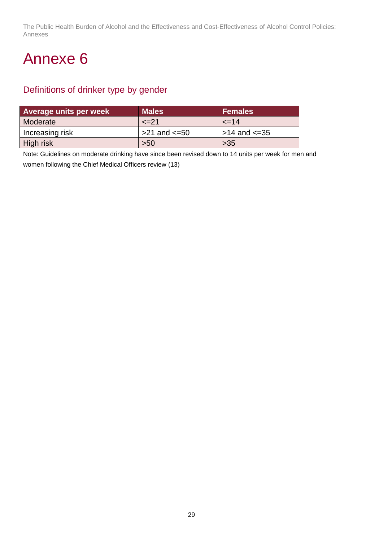## <span id="page-28-0"></span>Annexe 6

## <span id="page-28-1"></span>Definitions of drinker type by gender

| <b>Average units per week</b> | Males'              | <b>Females</b>      |
|-------------------------------|---------------------|---------------------|
| Moderate                      | $\le$ $=$ 21        | $\leq$ 14           |
| Increasing risk               | $>21$ and $\leq 50$ | $>14$ and $\leq 35$ |
| High risk                     | $>50$               | $>35$               |

Note: Guidelines on moderate drinking have since been revised down to 14 units per week for men and women following the Chief Medical Officers review (13)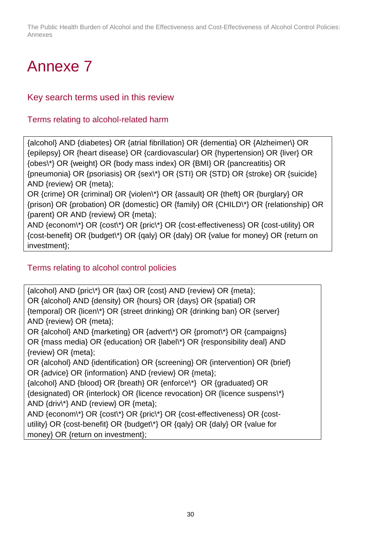# <span id="page-29-0"></span>Annexe 7

## <span id="page-29-1"></span>Key search terms used in this review

### Terms relating to alcohol-related harm

{alcohol} AND {diabetes} OR {atrial fibrillation} OR {dementia} OR {Alzheimer\} OR {epilepsy} OR {heart disease} OR {cardiovascular} OR {hypertension} OR {liver} OR {obes\\*} OR {weight} OR {body mass index} OR {BMI} OR {pancreatitis} OR {pneumonia} OR {psoriasis} OR {sex\\*} OR {STI} OR {STD} OR {stroke} OR {suicide} AND {review} OR {meta};

OR {crime} OR {criminal} OR {violen\\*} OR {assault} OR {theft} OR {burglary} OR {prison} OR {probation} OR {domestic} OR {family} OR {CHILD\\*} OR {relationship} OR {parent} OR AND {review} OR {meta};

AND {econom\\*} OR {cost\\*} OR {pric\\*} OR {cost-effectiveness} OR {cost-utility} OR {cost-benefit} OR {budget\\*} OR {qaly} OR {daly} OR {value for money} OR {return on investment};

## Terms relating to alcohol control policies

{alcohol} AND {pric\\*} OR {tax} OR {cost} AND {review} OR {meta}; OR {alcohol} AND {density} OR {hours} OR {days} OR {spatial} OR {temporal} OR {licen\\*} OR {street drinking} OR {drinking ban} OR {server} AND {review} OR {meta};

OR {alcohol} AND {marketing} OR {advert\\*} OR {promot\\*} OR {campaigns} OR {mass media} OR {education} OR {label\\*} OR {responsibility deal} AND {review} OR {meta};

OR {alcohol} AND {identification} OR {screening} OR {intervention} OR {brief} OR {advice} OR {information} AND {review} OR {meta};

{alcohol} AND {blood} OR {breath} OR {enforce\\*} OR {graduated} OR {designated} OR {interlock} OR {licence revocation} OR {licence suspens\\*} AND {driv\\*} AND {review} OR {meta};

AND {econom\\*} OR {cost\\*} OR {pric\\*} OR {cost-effectiveness} OR {costutility} OR {cost-benefit} OR {budget\\*} OR {qaly} OR {daly} OR {value for money} OR {return on investment};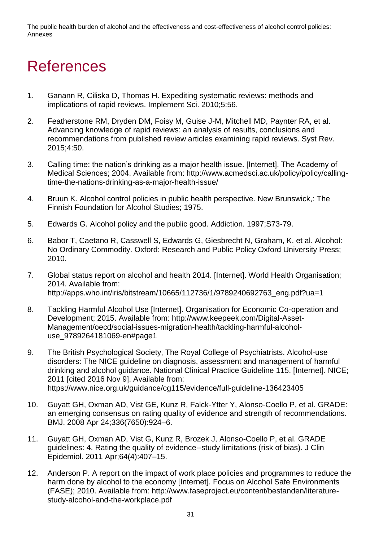# <span id="page-30-0"></span>References

- 1. Ganann R, Ciliska D, Thomas H. Expediting systematic reviews: methods and implications of rapid reviews. Implement Sci. 2010;5:56.
- 2. Featherstone RM, Dryden DM, Foisy M, Guise J-M, Mitchell MD, Paynter RA, et al. Advancing knowledge of rapid reviews: an analysis of results, conclusions and recommendations from published review articles examining rapid reviews. Syst Rev. 2015;4:50.
- 3. Calling time: the nation's drinking as a major health issue. [Internet]. The Academy of Medical Sciences; 2004. Available from: http://www.acmedsci.ac.uk/policy/policy/callingtime-the-nations-drinking-as-a-major-health-issue/
- 4. Bruun K. Alcohol control policies in public health perspective. New Brunswick,: The Finnish Foundation for Alcohol Studies; 1975.
- 5. Edwards G. Alcohol policy and the public good. Addiction. 1997;S73-79.
- 6. Babor T, Caetano R, Casswell S, Edwards G, Giesbrecht N, Graham, K, et al. Alcohol: No Ordinary Commodity. Oxford: Research and Public Policy Oxford University Press; 2010.
- 7. Global status report on alcohol and health 2014. [Internet]. World Health Organisation; 2014. Available from: http://apps.who.int/iris/bitstream/10665/112736/1/9789240692763\_eng.pdf?ua=1
- 8. Tackling Harmful Alcohol Use [Internet]. Organisation for Economic Co-operation and Development; 2015. Available from: http://www.keepeek.com/Digital-Asset-Management/oecd/social-issues-migration-health/tackling-harmful-alcoholuse\_9789264181069-en#page1
- 9. The British Psychological Society, The Royal College of Psychiatrists. Alcohol-use disorders: The NICE guideline on diagnosis, assessment and management of harmful drinking and alcohol guidance. National Clinical Practice Guideline 115. [Internet]. NICE; 2011 [cited 2016 Nov 9]. Available from: https://www.nice.org.uk/guidance/cg115/evidence/full-guideline-136423405
- 10. Guyatt GH, Oxman AD, Vist GE, Kunz R, Falck-Ytter Y, Alonso-Coello P, et al. GRADE: an emerging consensus on rating quality of evidence and strength of recommendations. BMJ. 2008 Apr 24;336(7650):924–6.
- 11. Guyatt GH, Oxman AD, Vist G, Kunz R, Brozek J, Alonso-Coello P, et al. GRADE guidelines: 4. Rating the quality of evidence--study limitations (risk of bias). J Clin Epidemiol. 2011 Apr;64(4):407–15.
- 12. Anderson P. A report on the impact of work place policies and programmes to reduce the harm done by alcohol to the economy [Internet]. Focus on Alcohol Safe Environments (FASE); 2010. Available from: http://www.faseproject.eu/content/bestanden/literaturestudy-alcohol-and-the-workplace.pdf